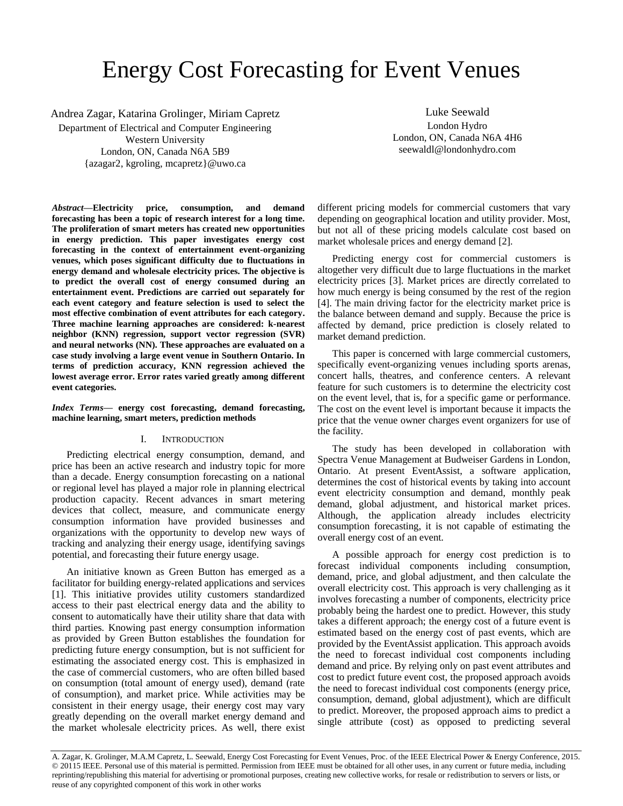# Energy Cost Forecasting for Event Venues

Andrea Zagar, Katarina Grolinger, Miriam Capretz

Department of Electrical and Computer Engineering Western University London, ON, Canada N6A 5B9 {azagar2, kgroling, mcapretz}@uwo.ca

*Abstract***—Electricity price, consumption, and demand forecasting has been a topic of research interest for a long time. The proliferation of smart meters has created new opportunities in energy prediction. This paper investigates energy cost forecasting in the context of entertainment event-organizing venues, which poses significant difficulty due to fluctuations in energy demand and wholesale electricity prices. The objective is to predict the overall cost of energy consumed during an entertainment event. Predictions are carried out separately for each event category and feature selection is used to select the most effective combination of event attributes for each category. Three machine learning approaches are considered: k-nearest neighbor (KNN) regression, support vector regression (SVR) and neural networks (NN). These approaches are evaluated on a case study involving a large event venue in Southern Ontario. In terms of prediction accuracy, KNN regression achieved the lowest average error. Error rates varied greatly among different event categories.**

# *Index Terms***— energy cost forecasting, demand forecasting, machine learning, smart meters, prediction methods**

# I. INTRODUCTION

Predicting electrical energy consumption, demand, and price has been an active research and industry topic for more than a decade. Energy consumption forecasting on a national or regional level has played a major role in planning electrical production capacity. Recent advances in smart metering devices that collect, measure, and communicate energy consumption information have provided businesses and organizations with the opportunity to develop new ways of tracking and analyzing their energy usage, identifying savings potential, and forecasting their future energy usage.

An initiative known as Green Button has emerged as a facilitator for building energy-related applications and services [1]. This initiative provides utility customers standardized access to their past electrical energy data and the ability to consent to automatically have their utility share that data with third parties. Knowing past energy consumption information as provided by Green Button establishes the foundation for predicting future energy consumption, but is not sufficient for estimating the associated energy cost. This is emphasized in the case of commercial customers, who are often billed based on consumption (total amount of energy used), demand (rate of consumption), and market price. While activities may be consistent in their energy usage, their energy cost may vary greatly depending on the overall market energy demand and the market wholesale electricity prices. As well, there exist

Luke Seewald London Hydro London, ON, Canada N6A 4H6 seewaldl@londonhydro.com

different pricing models for commercial customers that vary depending on geographical location and utility provider. Most, but not all of these pricing models calculate cost based on market wholesale prices and energy demand [2].

Predicting energy cost for commercial customers is altogether very difficult due to large fluctuations in the market electricity prices [3]. Market prices are directly correlated to how much energy is being consumed by the rest of the region [4]. The main driving factor for the electricity market price is the balance between demand and supply. Because the price is affected by demand, price prediction is closely related to market demand prediction.

This paper is concerned with large commercial customers, specifically event-organizing venues including sports arenas, concert halls, theatres, and conference centers. A relevant feature for such customers is to determine the electricity cost on the event level, that is, for a specific game or performance. The cost on the event level is important because it impacts the price that the venue owner charges event organizers for use of the facility.

The study has been developed in collaboration with Spectra Venue Management at Budweiser Gardens in London, Ontario. At present EventAssist, a software application, determines the cost of historical events by taking into account event electricity consumption and demand, monthly peak demand, global adjustment, and historical market prices. Although, the application already includes electricity consumption forecasting, it is not capable of estimating the overall energy cost of an event.

A possible approach for energy cost prediction is to forecast individual components including consumption, demand, price, and global adjustment, and then calculate the overall electricity cost. This approach is very challenging as it involves forecasting a number of components, electricity price probably being the hardest one to predict. However, this study takes a different approach; the energy cost of a future event is estimated based on the energy cost of past events, which are provided by the EventAssist application. This approach avoids the need to forecast individual cost components including demand and price. By relying only on past event attributes and cost to predict future event cost, the proposed approach avoids the need to forecast individual cost components (energy price, consumption, demand, global adjustment), which are difficult to predict. Moreover, the proposed approach aims to predict a single attribute (cost) as opposed to predicting several

A. Zagar, K. Grolinger, M.A.M Capretz, L. Seewald, Energy Cost Forecasting for Event Venues, Proc. of the IEEE Electrical Power & Energy Conference, 2015. © 20115 IEEE. Personal use of this material is permitted. Permission from IEEE must be obtained for all other uses, in any current or future media, including reprinting/republishing this material for advertising or promotional purposes, creating new collective works, for resale or redistribution to servers or lists, or reuse of any copyrighted component of this work in other works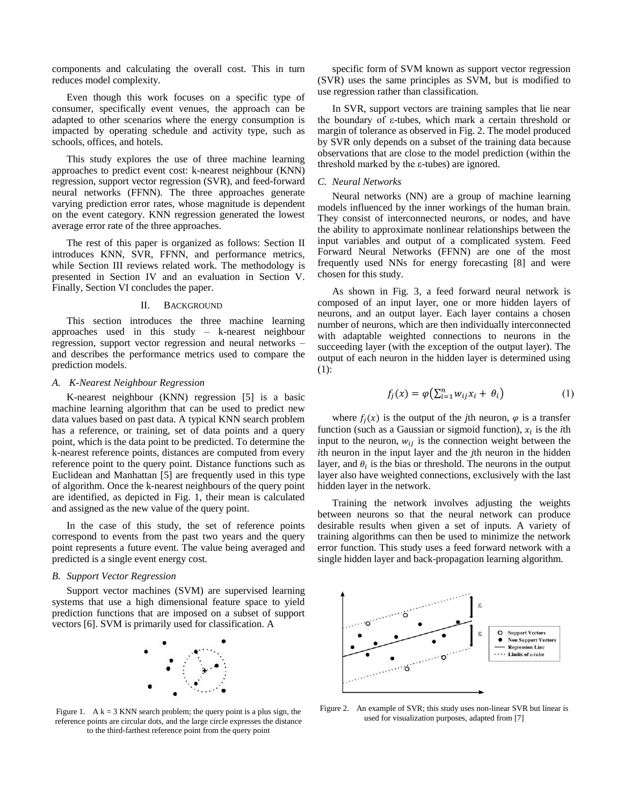components and calculating the overall cost. This in turn reduces model complexity.

Even though this work focuses on a specific type of consumer, specifically event venues, the approach can be adapted to other scenarios where the energy consumption is impacted by operating schedule and activity type, such as schools, offices, and hotels.

This study explores the use of three machine learning approaches to predict event cost: k-nearest neighbour (KNN) regression, support vector regression (SVR), and feed-forward neural networks (FFNN). The three approaches generate varying prediction error rates, whose magnitude is dependent on the event category. KNN regression generated the lowest average error rate of the three approaches.

The rest of this paper is organized as follows: Section II introduces KNN, SVR, FFNN, and performance metrics, while Section III reviews related work. The methodology is presented in Section IV and an evaluation in Section V. Finally, Section VI concludes the paper.

### II. BACKGROUND

This section introduces the three machine learning approaches used in this study – k-nearest neighbour regression, support vector regression and neural networks – and describes the performance metrics used to compare the prediction models.

### *A. K-Nearest Neighbour Regression*

K-nearest neighbour (KNN) regression [5] is a basic machine learning algorithm that can be used to predict new data values based on past data. A typical KNN search problem has a reference, or training, set of data points and a query point, which is the data point to be predicted. To determine the k-nearest reference points, distances are computed from every reference point to the query point. Distance functions such as Euclidean and Manhattan [5] are frequently used in this type of algorithm. Once the k-nearest neighbours of the query point are identified, as depicted in Fig. 1, their mean is calculated and assigned as the new value of the query point.

In the case of this study, the set of reference points correspond to events from the past two years and the query point represents a future event. The value being averaged and predicted is a single event energy cost.

### *B. Support Vector Regression*

Support vector machines (SVM) are supervised learning systems that use a high dimensional feature space to yield prediction functions that are imposed on a subset of support vectors [6]. SVM is primarily used for classification. A



Figure 1. A  $k = 3$  KNN search problem; the query point is a plus sign, the reference points are circular dots, and the large circle expresses the distance to the third-farthest reference point from the query point

specific form of SVM known as support vector regression (SVR) uses the same principles as SVM, but is modified to use regression rather than classification.

In SVR, support vectors are training samples that lie near the boundary of ε-tubes, which mark a certain threshold or margin of tolerance as observed in Fig. 2. The model produced by SVR only depends on a subset of the training data because observations that are close to the model prediction (within the threshold marked by the ε-tubes) are ignored.

### *C. Neural Networks*

Neural networks (NN) are a group of machine learning models influenced by the inner workings of the human brain. They consist of interconnected neurons, or nodes, and have the ability to approximate nonlinear relationships between the input variables and output of a complicated system. Feed Forward Neural Networks (FFNN) are one of the most frequently used NNs for energy forecasting [8] and were chosen for this study.

As shown in Fig. 3, a feed forward neural network is composed of an input layer, one or more hidden layers of neurons, and an output layer. Each layer contains a chosen number of neurons, which are then individually interconnected with adaptable weighted connections to neurons in the succeeding layer (with the exception of the output layer). The output of each neuron in the hidden layer is determined using (1):

$$
f_j(x) = \varphi\left(\sum_{i=1}^n w_{ij} x_i + \theta_i\right) \tag{1}
$$

where  $f_i(x)$  is the output of the *j*th neuron,  $\varphi$  is a transfer function (such as a Gaussian or sigmoid function),  $x_i$  is the *i*th input to the neuron,  $w_{ij}$  is the connection weight between the *i*th neuron in the input layer and the *j*th neuron in the hidden layer, and  $\theta_i$  is the bias or threshold. The neurons in the output layer also have weighted connections, exclusively with the last hidden layer in the network.

Training the network involves adjusting the weights between neurons so that the neural network can produce desirable results when given a set of inputs. A variety of training algorithms can then be used to minimize the network error function. This study uses a feed forward network with a single hidden layer and back-propagation learning algorithm.



Figure 2. An example of SVR; this study uses non-linear SVR but linear is used for visualization purposes, adapted from [7]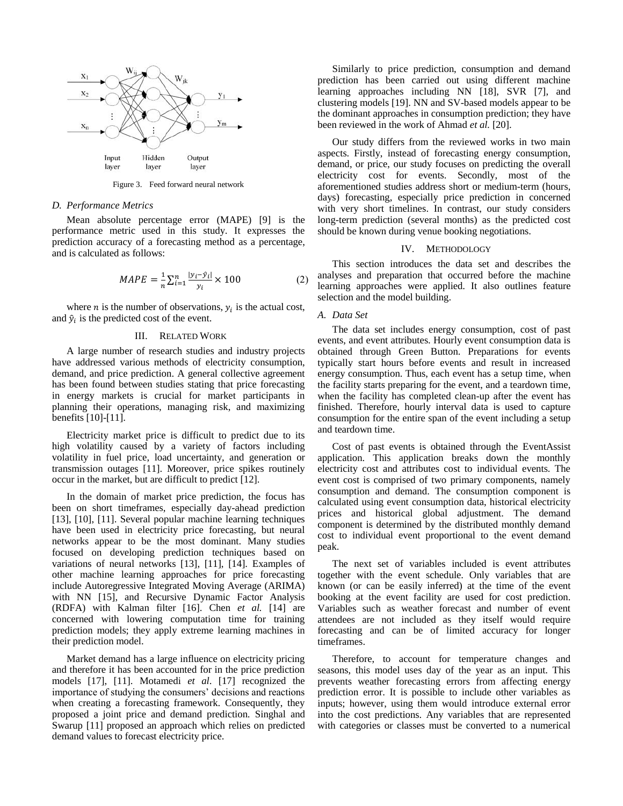

Figure 3. Feed forward neural network

### *D. Performance Metrics*

Mean absolute percentage error (MAPE) [9] is the performance metric used in this study. It expresses the prediction accuracy of a forecasting method as a percentage, and is calculated as follows:

$$
MAPE = \frac{1}{n} \sum_{i=1}^{n} \frac{|y_i - \hat{y}_i|}{y_i} \times 100
$$
 (2)

where *n* is the number of observations,  $y_i$  is the actual cost, and  $\hat{y}_i$  is the predicted cost of the event.

# III. RELATED WORK

A large number of research studies and industry projects have addressed various methods of electricity consumption, demand, and price prediction. A general collective agreement has been found between studies stating that price forecasting in energy markets is crucial for market participants in planning their operations, managing risk, and maximizing benefits [10]-[11].

Electricity market price is difficult to predict due to its high volatility caused by a variety of factors including volatility in fuel price, load uncertainty, and generation or transmission outages [11]. Moreover, price spikes routinely occur in the market, but are difficult to predict [12].

In the domain of market price prediction, the focus has been on short timeframes, especially day-ahead prediction [13], [10], [11]. Several popular machine learning techniques have been used in electricity price forecasting, but neural networks appear to be the most dominant. Many studies focused on developing prediction techniques based on variations of neural networks [13], [11], [14]. Examples of other machine learning approaches for price forecasting include Autoregressive Integrated Moving Average (ARIMA) with NN [15], and Recursive Dynamic Factor Analysis (RDFA) with Kalman filter [16]. Chen *et al.* [14] are concerned with lowering computation time for training prediction models; they apply extreme learning machines in their prediction model.

Market demand has a large influence on electricity pricing and therefore it has been accounted for in the price prediction models [17], [11]. Motamedi *et al*. [17] recognized the importance of studying the consumers' decisions and reactions when creating a forecasting framework. Consequently, they proposed a joint price and demand prediction. Singhal and Swarup [11] proposed an approach which relies on predicted demand values to forecast electricity price.

Similarly to price prediction, consumption and demand prediction has been carried out using different machine learning approaches including NN [18], SVR [7], and clustering models [19]. NN and SV-based models appear to be the dominant approaches in consumption prediction; they have been reviewed in the work of Ahmad *et al.* [20].

Our study differs from the reviewed works in two main aspects. Firstly, instead of forecasting energy consumption, demand, or price, our study focuses on predicting the overall electricity cost for events. Secondly, most of the aforementioned studies address short or medium-term (hours, days) forecasting, especially price prediction in concerned with very short timelines. In contrast, our study considers long-term prediction (several months) as the predicted cost should be known during venue booking negotiations.

### IV. METHODOLOGY

This section introduces the data set and describes the analyses and preparation that occurred before the machine learning approaches were applied. It also outlines feature selection and the model building.

### *A. Data Set*

The data set includes energy consumption, cost of past events, and event attributes. Hourly event consumption data is obtained through Green Button. Preparations for events typically start hours before events and result in increased energy consumption. Thus, each event has a setup time, when the facility starts preparing for the event, and a teardown time, when the facility has completed clean-up after the event has finished. Therefore, hourly interval data is used to capture consumption for the entire span of the event including a setup and teardown time.

Cost of past events is obtained through the EventAssist application. This application breaks down the monthly electricity cost and attributes cost to individual events. The event cost is comprised of two primary components, namely consumption and demand. The consumption component is calculated using event consumption data, historical electricity prices and historical global adjustment. The demand component is determined by the distributed monthly demand cost to individual event proportional to the event demand peak.

The next set of variables included is event attributes together with the event schedule. Only variables that are known (or can be easily inferred) at the time of the event booking at the event facility are used for cost prediction. Variables such as weather forecast and number of event attendees are not included as they itself would require forecasting and can be of limited accuracy for longer timeframes.

Therefore, to account for temperature changes and seasons, this model uses day of the year as an input. This prevents weather forecasting errors from affecting energy prediction error. It is possible to include other variables as inputs; however, using them would introduce external error into the cost predictions. Any variables that are represented with categories or classes must be converted to a numerical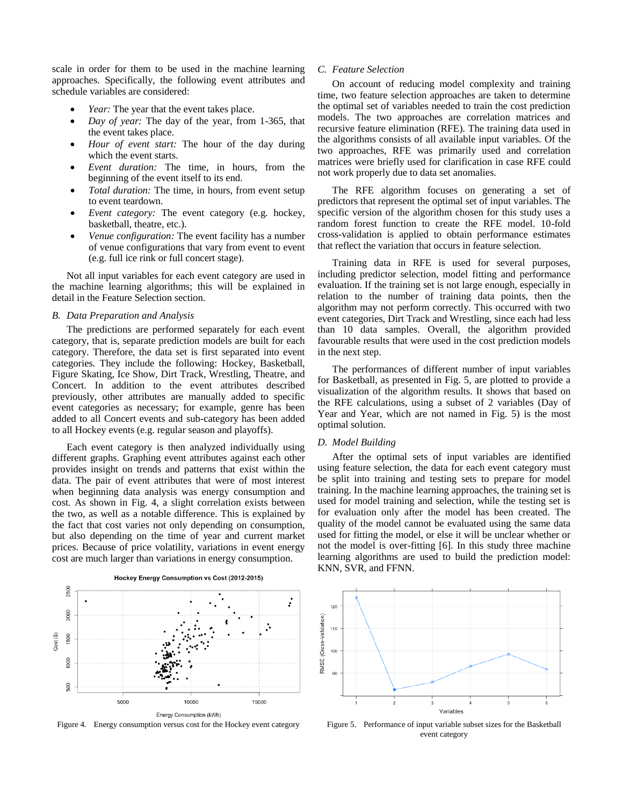scale in order for them to be used in the machine learning approaches. Specifically, the following event attributes and schedule variables are considered:

- *Year:* The year that the event takes place.
- *Day of year:* The day of the year, from 1-365, that the event takes place.
- *Hour of event start:* The hour of the day during which the event starts.
- *Event duration:* The time, in hours, from the beginning of the event itself to its end.
- *Total duration:* The time, in hours, from event setup to event teardown.
- *Event category:* The event category (e.g. hockey, basketball, theatre, etc.).
- *Venue configuration:* The event facility has a number of venue configurations that vary from event to event (e.g. full ice rink or full concert stage).

Not all input variables for each event category are used in the machine learning algorithms; this will be explained in detail in the Feature Selection section.

### *B. Data Preparation and Analysis*

The predictions are performed separately for each event category, that is, separate prediction models are built for each category. Therefore, the data set is first separated into event categories. They include the following: Hockey, Basketball, Figure Skating, Ice Show, Dirt Track, Wrestling, Theatre, and Concert. In addition to the event attributes described previously, other attributes are manually added to specific event categories as necessary; for example, genre has been added to all Concert events and sub-category has been added to all Hockey events (e.g. regular season and playoffs).

Each event category is then analyzed individually using different graphs. Graphing event attributes against each other provides insight on trends and patterns that exist within the data. The pair of event attributes that were of most interest when beginning data analysis was energy consumption and cost. As shown in Fig. 4, a slight correlation exists between the two, as well as a notable difference. This is explained by the fact that cost varies not only depending on consumption, but also depending on the time of year and current market prices. Because of price volatility, variations in event energy cost are much larger than variations in energy consumption.

Hockey Energy Consumption vs Cost (2012-2015)

# 2500  $\cdot$ 2000 Cost (\$) 1500 1000 500 15000 5000 10000 Energy Consumption (kWh)

Figure 4. Energy consumption versus cost for the Hockey event category

# *C. Feature Selection*

On account of reducing model complexity and training time, two feature selection approaches are taken to determine the optimal set of variables needed to train the cost prediction models. The two approaches are correlation matrices and recursive feature elimination (RFE). The training data used in the algorithms consists of all available input variables. Of the two approaches, RFE was primarily used and correlation matrices were briefly used for clarification in case RFE could not work properly due to data set anomalies.

The RFE algorithm focuses on generating a set of predictors that represent the optimal set of input variables. The specific version of the algorithm chosen for this study uses a random forest function to create the RFE model. 10-fold cross-validation is applied to obtain performance estimates that reflect the variation that occurs in feature selection.

Training data in RFE is used for several purposes, including predictor selection, model fitting and performance evaluation. If the training set is not large enough, especially in relation to the number of training data points, then the algorithm may not perform correctly. This occurred with two event categories, Dirt Track and Wrestling, since each had less than 10 data samples. Overall, the algorithm provided favourable results that were used in the cost prediction models in the next step.

The performances of different number of input variables for Basketball, as presented in Fig. 5, are plotted to provide a visualization of the algorithm results. It shows that based on the RFE calculations, using a subset of 2 variables (Day of Year and Year, which are not named in Fig. 5) is the most optimal solution.

### *D. Model Building*

After the optimal sets of input variables are identified using feature selection, the data for each event category must be split into training and testing sets to prepare for model training. In the machine learning approaches, the training set is used for model training and selection, while the testing set is for evaluation only after the model has been created. The quality of the model cannot be evaluated using the same data used for fitting the model, or else it will be unclear whether or not the model is over-fitting [6]. In this study three machine learning algorithms are used to build the prediction model: KNN, SVR, and FFNN.



Figure 5. Performance of input variable subset sizes for the Basketball event category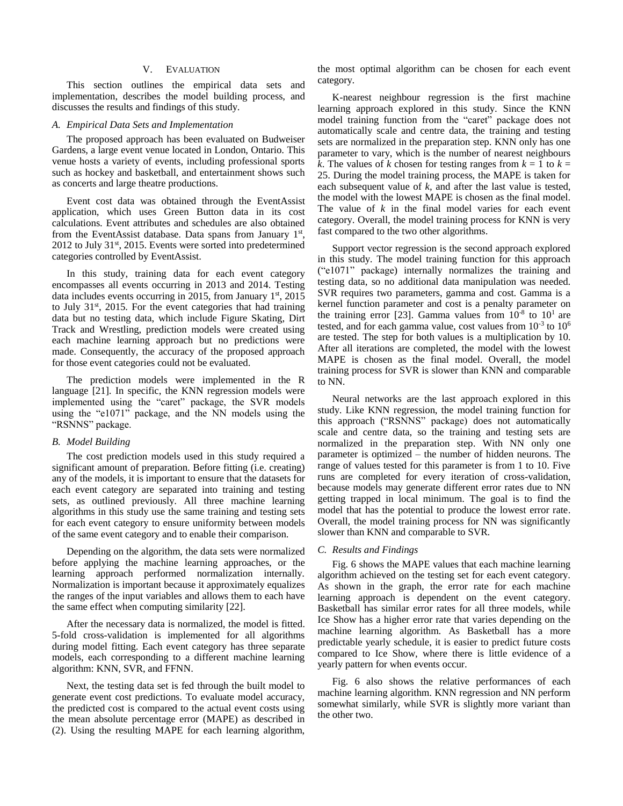# V. EVALUATION

This section outlines the empirical data sets and implementation, describes the model building process, and discusses the results and findings of this study.

### *A. Empirical Data Sets and Implementation*

The proposed approach has been evaluated on Budweiser Gardens, a large event venue located in London, Ontario. This venue hosts a variety of events, including professional sports such as hockey and basketball, and entertainment shows such as concerts and large theatre productions.

Event cost data was obtained through the EventAssist application, which uses Green Button data in its cost calculations. Event attributes and schedules are also obtained from the EventAssist database. Data spans from January 1<sup>st</sup>,  $2012$  to July  $31<sup>st</sup>$ ,  $2015$ . Events were sorted into predetermined categories controlled by EventAssist.

In this study, training data for each event category encompasses all events occurring in 2013 and 2014. Testing data includes events occurring in 2015, from January  $1<sup>st</sup>$ , 2015 to July  $31<sup>st</sup>$ , 2015. For the event categories that had training data but no testing data, which include Figure Skating, Dirt Track and Wrestling, prediction models were created using each machine learning approach but no predictions were made. Consequently, the accuracy of the proposed approach for those event categories could not be evaluated.

The prediction models were implemented in the R language [21]. In specific, the KNN regression models were implemented using the "caret" package, the SVR models using the "e1071" package, and the NN models using the "RSNNS" package.

### *B. Model Building*

The cost prediction models used in this study required a significant amount of preparation. Before fitting (i.e. creating) any of the models, it is important to ensure that the datasets for each event category are separated into training and testing sets, as outlined previously. All three machine learning algorithms in this study use the same training and testing sets for each event category to ensure uniformity between models of the same event category and to enable their comparison.

Depending on the algorithm, the data sets were normalized before applying the machine learning approaches, or the learning approach performed normalization internally. Normalization is important because it approximately equalizes the ranges of the input variables and allows them to each have the same effect when computing similarity [22].

After the necessary data is normalized, the model is fitted. 5-fold cross-validation is implemented for all algorithms during model fitting. Each event category has three separate models, each corresponding to a different machine learning algorithm: KNN, SVR, and FFNN.

Next, the testing data set is fed through the built model to generate event cost predictions. To evaluate model accuracy, the predicted cost is compared to the actual event costs using the mean absolute percentage error (MAPE) as described in (2). Using the resulting MAPE for each learning algorithm, the most optimal algorithm can be chosen for each event category.

K-nearest neighbour regression is the first machine learning approach explored in this study. Since the KNN model training function from the "caret" package does not automatically scale and centre data, the training and testing sets are normalized in the preparation step. KNN only has one parameter to vary, which is the number of nearest neighbours *k*. The values of *k* chosen for testing ranges from  $k = 1$  to  $k = 1$ 25. During the model training process, the MAPE is taken for each subsequent value of *k,* and after the last value is tested, the model with the lowest MAPE is chosen as the final model. The value of *k* in the final model varies for each event category. Overall, the model training process for KNN is very fast compared to the two other algorithms.

Support vector regression is the second approach explored in this study. The model training function for this approach ("e1071" package) internally normalizes the training and testing data, so no additional data manipulation was needed. SVR requires two parameters, gamma and cost. Gamma is a kernel function parameter and cost is a penalty parameter on the training error [23]. Gamma values from  $10^{-8}$  to  $10^{1}$  are tested, and for each gamma value, cost values from  $10^{-3}$  to  $10^{6}$ are tested. The step for both values is a multiplication by 10. After all iterations are completed, the model with the lowest MAPE is chosen as the final model. Overall, the model training process for SVR is slower than KNN and comparable to NN.

Neural networks are the last approach explored in this study. Like KNN regression, the model training function for this approach ("RSNNS" package) does not automatically scale and centre data, so the training and testing sets are normalized in the preparation step. With NN only one parameter is optimized – the number of hidden neurons. The range of values tested for this parameter is from 1 to 10. Five runs are completed for every iteration of cross-validation, because models may generate different error rates due to NN getting trapped in local minimum. The goal is to find the model that has the potential to produce the lowest error rate. Overall, the model training process for NN was significantly slower than KNN and comparable to SVR.

### *C. Results and Findings*

Fig. 6 shows the MAPE values that each machine learning algorithm achieved on the testing set for each event category. As shown in the graph, the error rate for each machine learning approach is dependent on the event category. Basketball has similar error rates for all three models, while Ice Show has a higher error rate that varies depending on the machine learning algorithm. As Basketball has a more predictable yearly schedule, it is easier to predict future costs compared to Ice Show, where there is little evidence of a yearly pattern for when events occur.

Fig. 6 also shows the relative performances of each machine learning algorithm. KNN regression and NN perform somewhat similarly, while SVR is slightly more variant than the other two.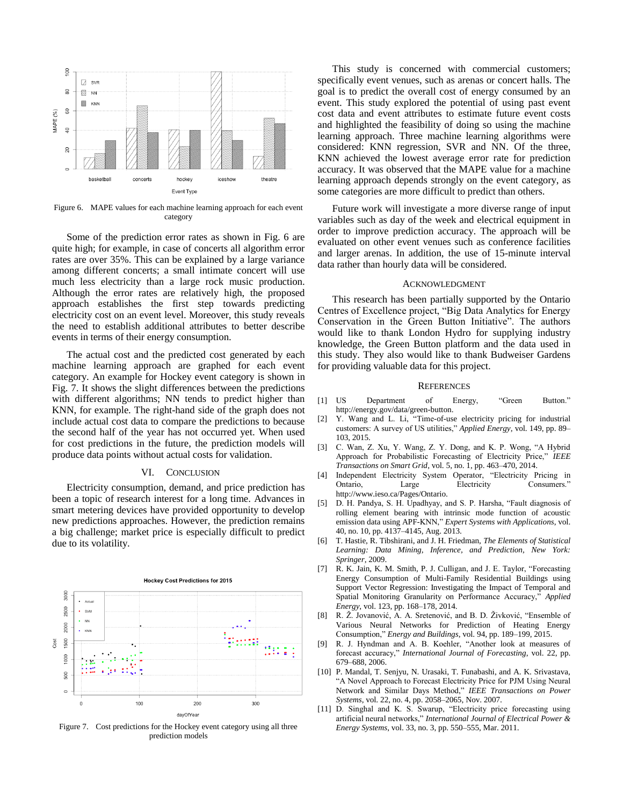

Figure 6. MAPE values for each machine learning approach for each event category

Some of the prediction error rates as shown in Fig. 6 are quite high; for example, in case of concerts all algorithm error rates are over 35%. This can be explained by a large variance among different concerts; a small intimate concert will use much less electricity than a large rock music production. Although the error rates are relatively high, the proposed approach establishes the first step towards predicting electricity cost on an event level. Moreover, this study reveals the need to establish additional attributes to better describe events in terms of their energy consumption.

The actual cost and the predicted cost generated by each machine learning approach are graphed for each event category. An example for Hockey event category is shown in Fig. 7. It shows the slight differences between the predictions with different algorithms; NN tends to predict higher than KNN, for example. The right-hand side of the graph does not include actual cost data to compare the predictions to because the second half of the year has not occurred yet. When used for cost predictions in the future, the prediction models will produce data points without actual costs for validation.

### VI. CONCLUSION

Electricity consumption, demand, and price prediction has been a topic of research interest for a long time. Advances in smart metering devices have provided opportunity to develop new predictions approaches. However, the prediction remains a big challenge; market price is especially difficult to predict due to its volatility.



Figure 7. Cost predictions for the Hockey event category using all three prediction models

This study is concerned with commercial customers; specifically event venues, such as arenas or concert halls. The goal is to predict the overall cost of energy consumed by an event. This study explored the potential of using past event cost data and event attributes to estimate future event costs and highlighted the feasibility of doing so using the machine learning approach. Three machine learning algorithms were considered: KNN regression, SVR and NN. Of the three, KNN achieved the lowest average error rate for prediction accuracy. It was observed that the MAPE value for a machine learning approach depends strongly on the event category, as some categories are more difficult to predict than others.

Future work will investigate a more diverse range of input variables such as day of the week and electrical equipment in order to improve prediction accuracy. The approach will be evaluated on other event venues such as conference facilities and larger arenas. In addition, the use of 15-minute interval data rather than hourly data will be considered.

# ACKNOWLEDGMENT

This research has been partially supported by the Ontario Centres of Excellence project, "Big Data Analytics for Energy Conservation in the Green Button Initiative". The authors would like to thank London Hydro for supplying industry knowledge, the Green Button platform and the data used in this study. They also would like to thank Budweiser Gardens for providing valuable data for this project.

### **REFERENCES**

- [1] US Department of Energy, "Green Button." http://energy.gov/data/green-button.
- [2] Y. Wang and L. Li, "Time-of-use electricity pricing for industrial customers: A survey of US utilities," *Applied Energy*, vol. 149, pp. 89– 103, 2015.
- [3] C. Wan, Z. Xu, Y. Wang, Z. Y. Dong, and K. P. Wong, "A Hybrid Approach for Probabilistic Forecasting of Electricity Price," *IEEE Transactions on Smart Grid*, vol. 5, no. 1, pp. 463–470, 2014.
- [4] Independent Electricity System Operator, "Electricity Pricing in Ontario, Large Electricity Consumers." http://www.ieso.ca/Pages/Ontario.
- [5] D. H. Pandya, S. H. Upadhyay, and S. P. Harsha, "Fault diagnosis of rolling element bearing with intrinsic mode function of acoustic emission data using APF-KNN," *Expert Systems with Applications*, vol. 40, no. 10, pp. 4137–4145, Aug. 2013.
- [6] T. Hastie, R. Tibshirani, and J. H. Friedman, *The Elements of Statistical Learning: Data Mining, Inference, and Prediction, New York: Springer*, 2009.
- [7] R. K. Jain, K. M. Smith, P. J. Culligan, and J. E. Taylor, "Forecasting Energy Consumption of Multi-Family Residential Buildings using Support Vector Regression: Investigating the Impact of Temporal and Spatial Monitoring Granularity on Performance Accuracy," *Applied Energy*, vol. 123, pp. 168–178, 2014.
- [8] R. Ž. Jovanović, A. A. Sretenović, and B. D. Živković, "Ensemble of Various Neural Networks for Prediction of Heating Energy Consumption," *Energy and Buildings*, vol. 94, pp. 189–199, 2015.
- [9] R. J. Hyndman and A. B. Koehler, "Another look at measures of forecast accuracy," *International Journal of Forecasting*, vol. 22, pp. 679–688, 2006.
- [10] P. Mandal, T. Senjyu, N. Urasaki, T. Funabashi, and A. K. Srivastava, "A Novel Approach to Forecast Electricity Price for PJM Using Neural Network and Similar Days Method," *IEEE Transactions on Power Systems*, vol. 22, no. 4, pp. 2058–2065, Nov. 2007.
- [11] D. Singhal and K. S. Swarup, "Electricity price forecasting using artificial neural networks," *International Journal of Electrical Power & Energy Systems*, vol. 33, no. 3, pp. 550–555, Mar. 2011.